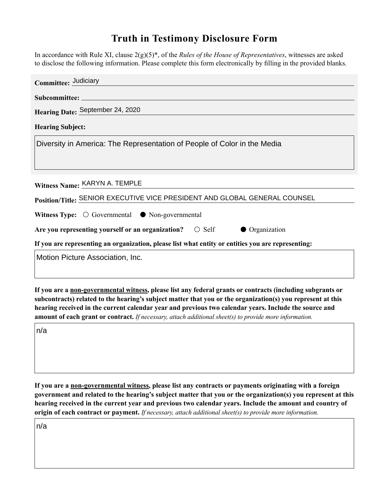## **Truth in Testimony Disclosure Form**

In accordance with Rule XI, clause 2(g)(5)\*, of the *Rules of the House of Representatives*, witnesses are asked to disclose the following information. Please complete this form electronically by filling in the provided blanks.

| Committee: Judiciary                                                                               |
|----------------------------------------------------------------------------------------------------|
|                                                                                                    |
| Hearing Date: September 24, 2020                                                                   |
| <b>Hearing Subject:</b>                                                                            |
| Diversity in America: The Representation of People of Color in the Media                           |
|                                                                                                    |
|                                                                                                    |
| Witness Name: KARYN A. TEMPLE                                                                      |
| Position/Title: SENIOR EXECUTIVE VICE PRESIDENT AND GLOBAL GENERAL COUNSEL                         |
| <b>Witness Type:</b> $\bigcirc$ Governmental $\bigcirc$ Non-governmental                           |
| Are you representing yourself or an organization? $\circ$ Self<br>• Organization                   |
| If you are representing an organization, please list what entity or entities you are representing: |
| Motion Picture Association, Inc.                                                                   |
|                                                                                                    |

**If you are a non-governmental witness, please list any federal grants or contracts (including subgrants or subcontracts) related to the hearing's subject matter that you or the organization(s) you represent at this hearing received in the current calendar year and previous two calendar years. Include the source and amount of each grant or contract.** *If necessary, attach additional sheet(s) to provide more information.*

n/a

**If you are a non-governmental witness, please list any contracts or payments originating with a foreign government and related to the hearing's subject matter that you or the organization(s) you represent at this hearing received in the current year and previous two calendar years. Include the amount and country of origin of each contract or payment.** *If necessary, attach additional sheet(s) to provide more information.*

n/a